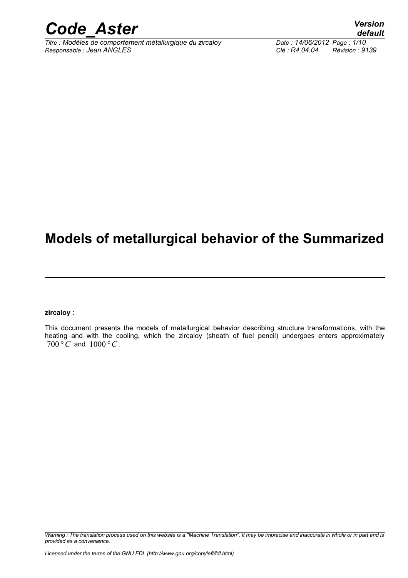

*Titre : Modèles de comportement métallurgique du zircaloy Date : 14/06/2012 Page : 1/10 Responsable : Jean ANGLES Clé : R4.04.04 Révision : 9139*

## **Models of metallurgical behavior of the Summarized**

**zircaloy** :

This document presents the models of metallurgical behavior describing structure transformations, with the heating and with the cooling, which the zircaloy (sheath of fuel pencil) undergoes enters approximately  $700\degree C$  and  $1000\degree C$ .

*Warning : The translation process used on this website is a "Machine Translation". It may be imprecise and inaccurate in whole or in part and is provided as a convenience.*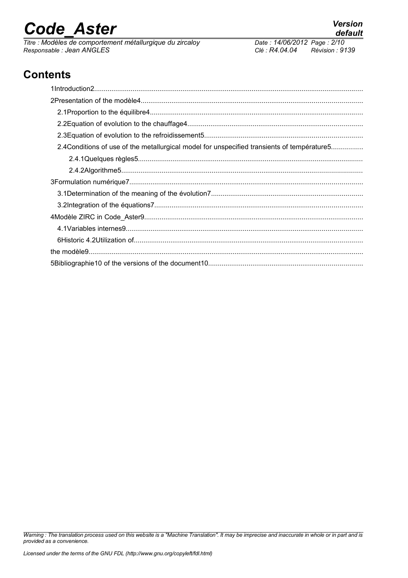*Titre : Modèles de comportement métallurgique du zircaloy Date : 14/06/2012 Page : 2/10 Responsable : Jean ANGLES Clé : R4.04.04 Révision : 9139*

## **Contents**

| 2.4 Conditions of use of the metallurgical model for unspecified transients of température5 |
|---------------------------------------------------------------------------------------------|
|                                                                                             |
|                                                                                             |
|                                                                                             |
|                                                                                             |
|                                                                                             |
|                                                                                             |
|                                                                                             |
|                                                                                             |
|                                                                                             |
|                                                                                             |

*Warning : The translation process used on this website is a "Machine Translation". It may be imprecise and inaccurate in whole or in part and is provided as a convenience.*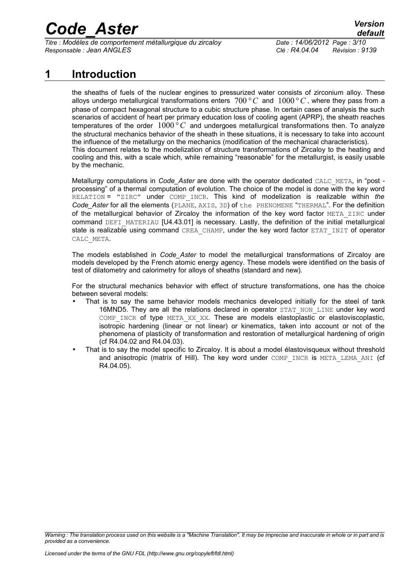*Titre : Modèles de comportement métallurgique du zircaloy Date : 14/06/2012 Page : 3/10 Responsable : Jean ANGLES Clé : R4.04.04 Révision : 9139*

## **1 Introduction**

the sheaths of fuels of the nuclear engines to pressurized water consists of zirconium alloy. These alloys undergo metallurgical transformations enters  $700\,^{\circ}$  C and  $1000\,^{\circ}$ C, where they pass from a phase of compact hexagonal structure to a cubic structure phase. In certain cases of analysis the such scenarios of accident of heart per primary education loss of cooling agent (APRP), the sheath reaches temperatures of the order 1000*° C* and undergoes metallurgical transformations then. To analyze the structural mechanics behavior of the sheath in these situations, it is necessary to take into account the influence of the metallurgy on the mechanics (modification of the mechanical characteristics). This document relates to the modelization of structure transformations of Zircaloy to the heating and cooling and this, with a scale which, while remaining "reasonable" for the metallurgist, is easily usable by the mechanic.

Metallurgy computations in *Code\_Aster* are done with the operator dedicated CALC\_META, in "post processing" of a thermal computation of evolution. The choice of the model is done with the key word RELATION = "ZIRC" under COMP\_INCR. This kind of modelization is realizable within *the Code\_Aster* for all the elements (PLANE, AXIS, 3D) of the PHENOMENE "THERMAL". For the definition of the metallurgical behavior of Zircaloy the information of the key word factor META ZIRC under command DEFI\_MATERIAU [U4.43.01] is necessary. Lastly, the definition of the initial metallurgical state is realizable using command CREA\_CHAMP, under the key word factor ETAT\_INIT of operator CALC\_META.

The models established in *Code\_Aster* to model the metallurgical transformations of Zircaloy are models developed by the French atomic energy agency. These models were identified on the basis of test of dilatometry and calorimetry for alloys of sheaths (standard and new).

For the structural mechanics behavior with effect of structure transformations, one has the choice between several models:

- That is to say the same behavior models mechanics developed initially for the steel of tank 16MND5. They are all the relations declared in operator STAT NON LINE under key word COMP INCR of type META XX XX. These are models elastoplastic or elastoviscoplastic, isotropic hardening (linear or not linear) or kinematics, taken into account or not of the phenomena of plasticity of transformation and restoration of metallurgical hardening of origin (cf R4.04.02 and R4.04.03).
- That is to say the model specific to Zircaloy. It is about a model élastovisqueux without threshold and anisotropic (matrix of Hill). The key word under COMP INCR is META LEMA ANI (cf R4.04.05).

*Warning : The translation process used on this website is a "Machine Translation". It may be imprecise and inaccurate in whole or in part and is provided as a convenience.*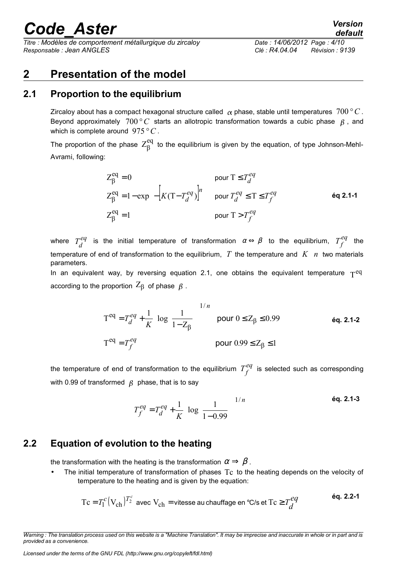*Titre : Modèles de comportement métallurgique du zircaloy Date : 14/06/2012 Page : 4/10 Responsable : Jean ANGLES Clé : R4.04.04 Révision : 9139*

## **2 Presentation of the model**

## **2.1 Proportion to the equilibrium**

Zircaloy about has a compact hexagonal structure called  $\alpha$  phase, stable until temperatures  $700\degree C$ . Beyond approximately  $700\degree C$  starts an allotropic transformation towards a cubic phase  $\beta$ , and which is complete around 975*°C* .

The proportion of the phase  $Z_\beta^{\text{eq}}$  to the equilibrium is given by the equation, of type Johnson-Mehl-Avrami, following:

$$
\begin{cases}\nZ_{\beta}^{\text{eq}} = 0 & \text{pour } T \le T_d^{eq} \\
Z_{\beta}^{\text{eq}} = 1 - \exp\left\{-\left[K(T - T_d^{eq})\right]^n\right\} & \text{pour } T_d^{eq} \le T \le T_f^{eq} \\
Z_{\beta}^{\text{eq}} = 1 & \text{ pour } T > T_f^{eq}\n\end{cases}
$$
éq 2.1-1

where  $T^{eq}_{d}$  is the initial temperature of transformation  $\alpha \Leftrightarrow \beta$  to the equilibrium,  $T^{eq}_{f}$  the temperature of end of transformation to the equilibrium, *T* the temperature and *K n* two materials parameters.

In an equivalent way, by reversing equation 2.1, one obtains the equivalent temperature  $T^{eq}$ according to the proportion  $Z_{\beta}$  of phase  $\beta$ .

$$
\begin{cases}\nT^{eq} = T_d^{eq} + \frac{1}{K} \left[ \log \left( \frac{1}{1 - Z_{\beta}} \right) \right]^{1/n} & \text{pour } 0 \le Z_{\beta} \le 0.99 \\
T^{eq} = T_f^{eq} & \text{pour } 0.99 \le Z_{\beta} \le 1\n\end{cases}
$$
 éq. 2.1-2

the temperature of end of transformation to the equilibrium  $T_f^{eq}$  is selected such as corresponding with 0.99 of transformed  $\beta$  phase, that is to say

$$
T_f^{eq} = T_d^{eq} + \frac{1}{K} \left[ \log \left( \frac{1}{1 - 0.99} \right) \right]^{1/n}
$$

## **2.2 Equation of evolution to the heating**

the transformation with the heating is the transformation  $\alpha \Rightarrow \beta$ .

• The initial temperature of transformation of phases Tc to the heating depends on the velocity of temperature to the heating and is given by the equation:

$$
Tc = T_1^c (V_{ch})^{T_2^c}
$$
 avec  $V_{ch}$  = vitesse au chaque de  $C/s$  et  $Tc \ge T_d^{eq}$  éq. 2.2-1

*Warning : The translation process used on this website is a "Machine Translation". It may be imprecise and inaccurate in whole or in part and is provided as a convenience.*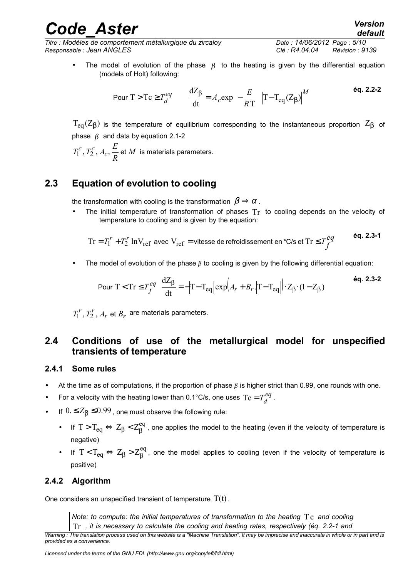The model of evolution of the phase  $\beta$  to the heating is given by the differential equation (models of Holt) following:

$$
\text{Pour } T > Tc \ge T_d^{eq} \qquad \frac{dZ_{\beta}}{dt} = A_c \exp\left(-\frac{E}{RT}\right) \left|T - T_{eq}(Z_{\beta})\right|^{M} \tag{6q. 2.2-2}
$$

 $T_{eq}(Z_B)$  is the temperature of equilibrium corresponding to the instantaneous proportion  $Z_B$  of phase  $\beta$  and data by equation 2.1-2

*M R*  $T_1^c$ ,  $T_2^c$ ,  $A_c$ ,  $\frac{E}{R}$  et  $M$  is materials parameters.

### **2.3 Equation of evolution to cooling**

the transformation with cooling is the transformation  $\beta \Rightarrow \alpha$ .

The initial temperature of transformation of phases  $Tr$  to cooling depends on the velocity of temperature to cooling and is given by the equation:

$$
\text{Tr} = T_1^{\ \! r} + T_2^{\ \! r} \ln V_{\text{ref}} \text{ avec } V_{\text{ref}} = \text{vitesse de refroidissement en } ^\circ \text{C/s et } \text{Tr} \le T_f^{eq} \qquad \qquad \text{\'eq. 2.3-1}
$$

The model of evolution of the phase  $\beta$  to cooling is given by the following differential equation:

$$
\text{Pour } T < \text{Tr} \le T_f^{eq} \quad \frac{\text{d}Z_{\beta}}{\text{dt}} = -\left|T - T_{eq}\right| \exp\left(A_r + B_r \cdot \left|T - T_{eq}\right|\right) \cdot Z_{\beta} \cdot (1 - Z_{\beta}) \tag{6q. 2.3-2}
$$

 $_r$  et  $\mathcal{B}_r$  $T_1^r$ ,  $T_2^r$ ,  $A_r$  et  $B_r$  are materials parameters.

### **2.4 Conditions of use of the metallurgical model for unspecified transients of temperature**

### **2.4.1 Some rules**

- At the time as of computations, if the proportion of phase  $\beta$  is higher strict than 0.99, one rounds with one.
- For a velocity with the heating lower than 0.1°C/s, one uses  $Tc = T_d^{eq}$ .
- If  $0. \leq Z_{\beta} \leq 0.99$ , one must observe the following rule:
	- If  $T > T_{eq} \Leftrightarrow Z_\beta < Z_\beta^{eq}$ , one applies the model to the heating (even if the velocity of temperature is negative)
	- If  $T < T_{eq} \Leftrightarrow Z_{\beta} > Z_{\beta}^{eq}$ , one the model applies to cooling (even if the velocity of temperature is positive)

### **2.4.2 Algorithm**

One considers an unspecified transient of temperature  $T(t)$ .

*Note: to compute: the initial temperatures of transformation to the heating T<sub>C</sub> and cooling* 

Tr *, it is necessary to calculate the cooling and heating rates, respectively (éq. 2.2-1 and Warning : The translation process used on this website is a "Machine Translation". It may be imprecise and inaccurate in whole or in part and is provided as a convenience.*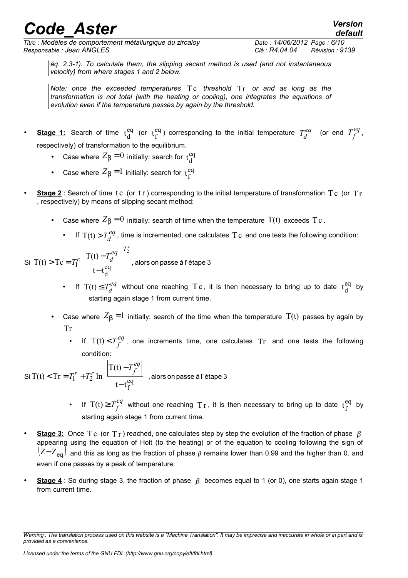*Titre : Modèles de comportement métallurgique du zircaloy Date : 14/06/2012 Page : 6/10 Responsable : Jean ANGLES Clé : R4.04.04 Révision : 9139*

*default*

*éq. 2.3-1). To calculate them, the slipping secant method is used (and not instantaneous velocity) from where stages 1 and 2 below.*

*Note: once the exceeded temperatures* Tc *threshold* Tr *or and as long as the transformation is not total (with the heating or cooling), one integrates the equations of evolution even if the temperature passes by again by the threshold.*

- **Stage 1:** Search of time  $t_d^{eq}$  (or  $t_f^{eq}$ ) corresponding to the initial temperature  $T_d^{eq}$  (or end  $T_f^{eq}$ , respectively) of transformation to the equilibrium.
	- Case where  $Z_{\beta} = 0$  initially: search for  $t_d^{eq}$
	- Case where  $Z_{\beta} = 1$  initially: search for  $t_f^{eq}$
- **Stage 2** : Search of time t c (or t r) corresponding to the initial temperature of transformation  $Tc$  (or  $Tr$ , respectively) by means of slipping secant method:
	- Case where  $Z_{\beta} = 0$  initially: search of time when the temperature  $T(t)$  exceeds Tc.
		- If  $T(t) > T_d^{eq}$ , time is incremented, one calculates Tc and one tests the following condition:

Si T(t) > Tc = 
$$
T_1^c \left( \frac{T(t) - T_d^{eq}}{t - t_d^{eq}} \right)^{T_2^c}
$$
, alors on passe à l'étape 3

- If  $T(t) \leq T_d^{eq}$  without one reaching Tc, it is then necessary to bring up to date  $t_d^{eq}$  by starting again stage 1 from current time.
- Case where  $Z_{\beta} = 1$  initially: search of the time when the temperature  $T(t)$  passes by again by Tr
	- If  $T(t) < T_f^{eq}$ , one increments time, one calculates  $Tr$  and one tests the following condition:

Si T(t) < Tr = T<sub>1</sub><sup>r</sup> + T<sub>2</sub><sup>r</sup> ln 
$$
\left( \frac{|T(t) - T_f^{eq}|}{t - t_f^{eq}} \right)
$$
, alors on passe à l'étape 3

- If  $T(t) \geq T_f^{eq}$  without one reaching  $T r$ , it is then necessary to bring up to date  $t_f^{eq}$  by starting again stage 1 from current time.
- **Stage 3:** Once Tc (or Tr) reached, one calculates step by step the evolution of the fraction of phase  $\beta$ appearing using the equation of Holt (to the heating) or of the equation to cooling following the sign of  $\rm (Z-Z_{eq})$  and this as long as the fraction of phase  $\beta$  remains lower than 0.99 and the higher than 0. and even if one passes by a peak of temperature.
- **Stage 4** : So during stage 3, the fraction of phase  $\beta$  becomes equal to 1 (or 0), one starts again stage 1 from current time.

*Warning : The translation process used on this website is a "Machine Translation". It may be imprecise and inaccurate in whole or in part and is provided as a convenience.*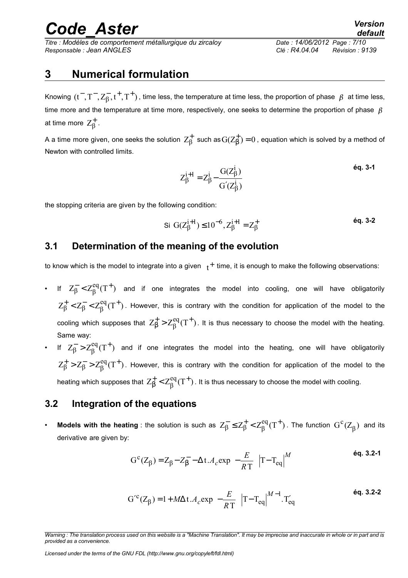*Titre : Modèles de comportement métallurgique du zircaloy Date : 14/06/2012 Page : 7/10 Responsable : Jean ANGLES Clé : R4.04.04 Révision : 9139*

## *default*

## **3 Numerical formulation**

Knowing  $(t^-,T^-,Z_B^-,t^+,T^+)$  , time less, the temperature at time less, the proportion of phase  $\,\beta\,$  at time less, time more and the temperature at time more, respectively, one seeks to determine the proportion of phase  $\beta$ at time more  $\ Z_{\beta}^+$  .

A a time more given, one seeks the solution  $Z_\beta^+$  such as  $G(Z_\beta^+)$   $=$   $0$  $\vec{\beta}\,)=0$  , equation which is solved by a method of Newton with controlled limits.

$$
Z_{\beta}^{i+1} = Z_{\beta}^{i} - \frac{G(Z_{\beta}^{i})}{G'(Z_{\beta}^{i})}
$$

the stopping criteria are given by the following condition:

Si G(
$$
Z_{\beta}^{i+1}
$$
) ≤ 10<sup>-6</sup>,  $Z_{\beta}^{i+1} = Z_{\beta}^{+}$  éq. 3-2

### **3.1 Determination of the meaning of the evolution**

to know which is the model to integrate into a given  $\;\;_t^+$  time, it is enough to make the following observations:

- If  $Z_8^- < Z_8^{\text{eq}}(T^+)$  $\beta < \angle \beta$  $\overline{\mathcal{B}} < Z^{\text{eq}}_{\text{R}}(\text{T}^+)$  and if one integrates the model into cooling, one will have obligatorily  $Z_{\rm B}^+ < Z_{\rm B}^- < Z_{\rm B}^{\rm eq}(T^+)$  $\beta$  <  $\angle$  $\beta$  <  $\angle$  $\beta$  $_{6}^{+}$   $<$   $Z_{6}^{-}$   $<$   $Z_{8}^{eq}$  $(T^{+})$ . However, this is contrary with the condition for application of the model to the cooling which supposes that  $Z_B^+ > Z^{eq}_{\text{R}}(T^+)$ β  $^{+}_{\beta}$   $>$   $Z_{\beta}^{\text{eq}}(T^{+})$  . It is thus necessary to choose the model with the heating. Same way:
- If  $Z_8^- > Z_8^{\text{eq}}(T^+)$  $\beta > L_{\beta}$  $\frac{1}{6}$  >  $Z_R^{eq}(T^+)$  and if one integrates the model into the heating, one will have obligatorily  $Z_{\rm B}^+ > Z_{\rm B}^- > Z_{\rm B}^{\rm eq}(T^+)$  $\beta > 2\beta > 2\beta$  $_{\rm B}^+$  >  $Z_{\rm B}^-$  >  $Z_{\rm B}^{\rm eq}(T^+)$ . However, this is contrary with the condition for application of the model to the heating which supposes that  $Z_{\rm B}^+<$   $Z_{\rm R}^{\rm eq}({\rm T}^+)$ β  $\frac{1}{\beta} < Z_{\beta}^{\text{eq}}(T^+)$  . It is thus necessary to choose the model with cooling.

### **3.2 Integration of the equations**

• Models with the heating : the solution is such as  $Z_{\rm B}^- \leq Z_{\rm B}^+ < Z_{\rm B}^{\rm eq}(\rm T^+)$  $\beta \leq \angle \beta \leq \angle \beta$  $\overline{\beta} \leq Z_{\beta}^{+} < Z_{\beta}^{eq}(T^{+})$  . The function  $G^{c}(Z_{\beta})$  $\rm ^c (Z_{{}_R})$  and its derivative are given by:

$$
G^{c}(Z_{\beta}) = Z_{\beta} - Z_{\beta} - \Delta t.A_{c} \exp\left(-\frac{E}{RT}\right) |T - T_{eq}|^{M}
$$
 6q. 3.2-1

$$
G^{\prime c}(Z_{\beta}) = 1 + M\Delta t.A_c \exp\left(-\frac{E}{RT}\right) |T - T_{eq}|^{M-1}.T'_{eq}
$$

*Warning : The translation process used on this website is a "Machine Translation". It may be imprecise and inaccurate in whole or in part and is provided as a convenience.*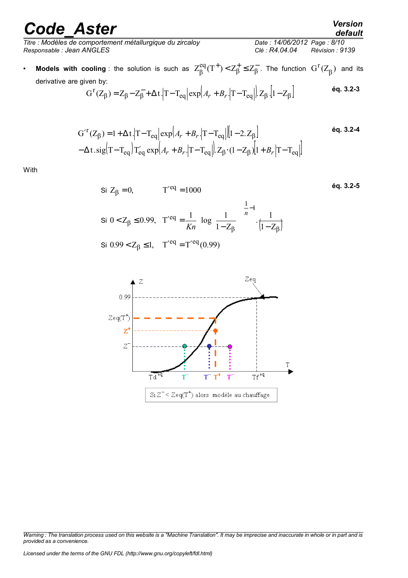*Titre : Modèles de comportement métallurgique du zircaloy Date : 14/06/2012 Page : 8/10 Responsable : Jean ANGLES Clé : R4.04.04 Révision : 9139*

### • Models with cooling : the solution is such as  $Z_{\beta}^{\text{eq}}(T^+)$   $<$   $Z_{\beta}^+\leq Z_{\beta}^ Z_\beta^{\mathrm{eq}}(T^+)$ < $Z_\beta^+\leq Z_\beta^-$ . The function  $\ G^{\mathrm{r}}(Z_\beta)$  $\binom{r}{Z_{\scriptscriptstyle\text{R}}}$  and its derivative are given by:

$$
G^{r}(Z_{\beta}) = Z_{\beta} - Z_{\beta}^{-} + \Delta t \cdot |T - T_{eq}| \exp\left(A_r + B_r \cdot |T - T_{eq}|\right) Z_{\beta} \cdot [1 - Z_{\beta}]
$$
 6q. 3.2-3

$$
G^{\prime r}(Z_{\beta}) = 1 + \Delta t \cdot \left| T - T_{eq} \right| \exp \left( A_r + B_r \cdot \left| T - T_{eq} \right| \right) \left[ 1 - 2 \cdot Z_{\beta} \right] \tag{6q. 3.2-4}
$$

$$
- \Delta t \cdot \text{sig}(T - T_{eq}) T_{eq}^{\prime} \exp \left( A_r + B_r \cdot \left| T - T_{eq} \right| \right) Z_{\beta} \cdot (1 - Z_{\beta}) \left[ 1 + B_r \left| T - T_{eq} \right| \right]
$$

With

$$
\begin{cases}\n\text{Si } Z_{\beta} = 0, & \text{T}'^{\text{eq}} = 1000 \\
\text{Si } 0 < Z_{\beta} \le 0.99, & \text{T}'^{\text{eq}} = \frac{1}{Kn} \left[ \log \left( \frac{1}{1 - Z_{\beta}} \right) \right]^{\frac{1}{n} - 1} \cdot \frac{1}{(1 - Z_{\beta})} \\
\text{Si } 0.99 < Z_{\beta} \le 1, & \text{T}'^{\text{eq}} = \text{T}'^{\text{eq}}(0.99)\n\end{cases}
$$
\n6q. 3.2-5



*default*

*Warning : The translation process used on this website is a "Machine Translation". It may be imprecise and inaccurate in whole or in part and is provided as a convenience.*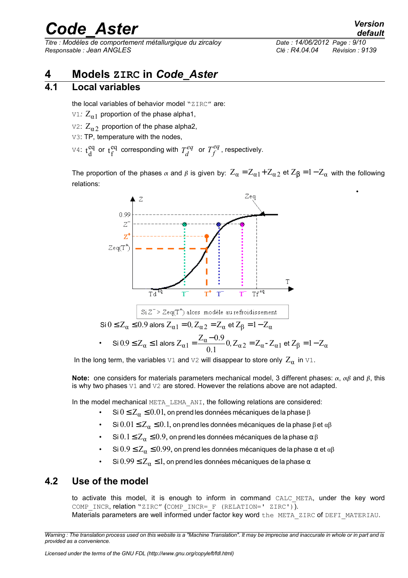*Titre : Modèles de comportement métallurgique du zircaloy Date : 14/06/2012 Page : 9/10 Responsable : Jean ANGLES Clé : R4.04.04 Révision : 9139*

## **4 Models ZIRC in** *Code\_Aster*

### **4.1 Local variables**

the local variables of behavior model "ZIRC" are:

- $\text{V1: } \text{Z}_{\alpha 1}$  proportion of the phase alpha1,
- $\text{V2: } \text{Z}_{\alpha 2}$  proportion of the phase alpha2,
- V3: TP, temperature with the nodes,
- $\mathbb{V}^{4}:$   $\mathfrak{t}_{\mathrm{d}}^{\mathrm{eq}}$  or  $\mathfrak{t}_{\mathrm{f}}^{\mathrm{eq}}$  corresponding with  $T_{d}^{eq}$  or  $T_{f}^{eq}$ , respectively.

The proportion of the phases  $\alpha$  and  $\beta$  is given by:  $Z_\alpha$   $=$   $Z_{\alpha 1}$  +  $Z_{\alpha 2}$  et  $Z_\beta$   $=$   $1$   $Z_\alpha$  with the following relations:



In the long term, the variables  $\forall 1$  and  $\forall 2$  will disappear to store only  $Z_\alpha$  in  $\forall 1$ .

**Note:** one considers for materials parameters mechanical model, 3 different phases:  $\alpha$ ,  $\alpha\beta$  and  $\beta$ , this is why two phases  $V1$  and  $V2$  are stored. However the relations above are not adapted.

In the model mechanical META\_LEMA\_ANI, the following relations are considered:

- Si  $0 \leq Z_{\alpha} \leq 0.01,$  on prend les données mécaniques de la phase  $\beta$
- Si  $0.01 \le Z_\alpha \le 0.1$ , on prend les données mécaniques de la phase β et αβ
- Si  $0.1 \leq Z_\alpha \leq 0.9$ , on prend les données mécaniques de la phase  $\alpha \beta$
- $6.9 \leq Z_{\alpha} \leq 0.99$ , on prend les données mécaniques de la phase α et αβ
- $\text{Si } 0.99 \leq Z_{\alpha} \leq 1$ , on prend les données mécaniques de la phase  $\alpha$

### **4.2 Use of the model**

to activate this model, it is enough to inform in command CALC\_META, under the key word COMP INCR, relation "ZIRC" (COMP INCR= F (RELATION=' ZIRC')).

Materials parameters are well informed under factor key word the META ZIRC of DEFI\_MATERIAU.

•

*Warning : The translation process used on this website is a "Machine Translation". It may be imprecise and inaccurate in whole or in part and is provided as a convenience.*